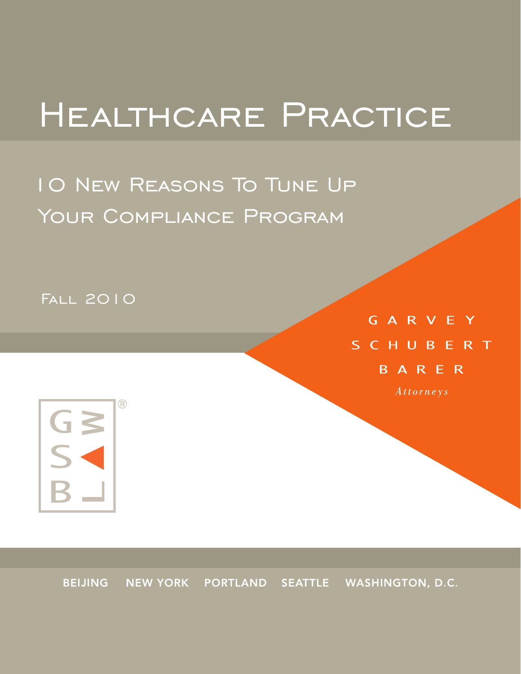# Healthcare Practice

10 New Reasons To Tune Up Your Compliance Program

Fall 2010

GARVEY SCHUBERT BARER Attorneys



BEIJING NEW YORK PORTLAND SEATTLE WASHINGTON, D.C.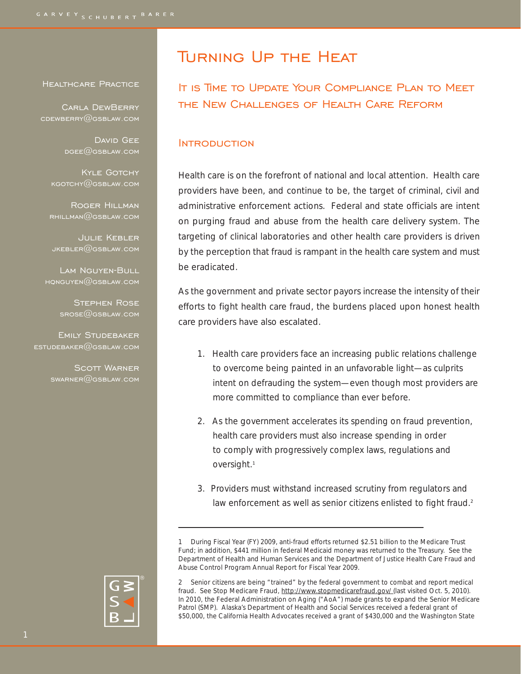#### Healthcare Practice

 Carla DewBerry cdewberry@gsblaw.com

> DAVID GEE  $DGEE$ @GSBLAW.COM

KYLE GOTCHY kgotchy@gsblaw.com

Roger Hillman  $R$ HILLMAN $@$ GSBLAW.COM

Julie Kebler  $JKEBLER@GSBLAW.COM$ 

Lam Nguyen-Bull  $HQNGUYEN@GSBLAW,COM$ 

> Stephen Rose  $SROSE@GSBLAW.COM$

Emily Studebaker <code>ESTUDEBAKER $@$ GSBLAW.COM</code>

> SCOTT WARNER swarner@gsblaw.com

## Turning Up the Heat

It is Time to Update Your Compliance Plan to Meet the New Challenges of Health Care Reform

#### **INTRODUCTION**

Health care is on the forefront of national and local attention. Health care providers have been, and continue to be, the target of criminal, civil and administrative enforcement actions. Federal and state officials are intent on purging fraud and abuse from the health care delivery system. The targeting of clinical laboratories and other health care providers is driven by the perception that fraud is rampant in the health care system and must be eradicated.

As the government and private sector payors increase the intensity of their efforts to fight health care fraud, the burdens placed upon honest health care providers have also escalated.

- 1. Health care providers face an increasing public relations challenge to overcome being painted in an unfavorable light—as culprits intent on defrauding the system—even though most providers are more committed to compliance than ever before.
- 2. As the government accelerates its spending on fraud prevention, health care providers must also increase spending in order to comply with progressively complex laws, regulations and oversight.<sup>1</sup>
- 3. Providers must withstand increased scrutiny from regulators and law enforcement as well as senior citizens enlisted to fight fraud.<sup>2</sup>

2 Senior citizens are being "trained" by the federal government to combat and report medical fraud. See Stop Medicare Fraud, http://www.stopmedicarefraud.gov/ (last visited Oct. 5, 2010). In 2010, the Federal Administration on Aging ("AoA") made grants to expand the Senior Medicare Patrol (SMP). Alaska's Department of Health and Social Services received a federal grant of \$50,000, the California Health Advocates received a grant of \$430,000 and the Washington State



<sup>1</sup> During Fiscal Year (FY) 2009, anti-fraud efforts returned \$2.51 billion to the Medicare Trust Fund; in addition, \$441 million in federal Medicaid money was returned to the Treasury. See the Department of Health and Human Services and the Department of Justice Health Care Fraud and Abuse Control Program Annual Report for Fiscal Year 2009.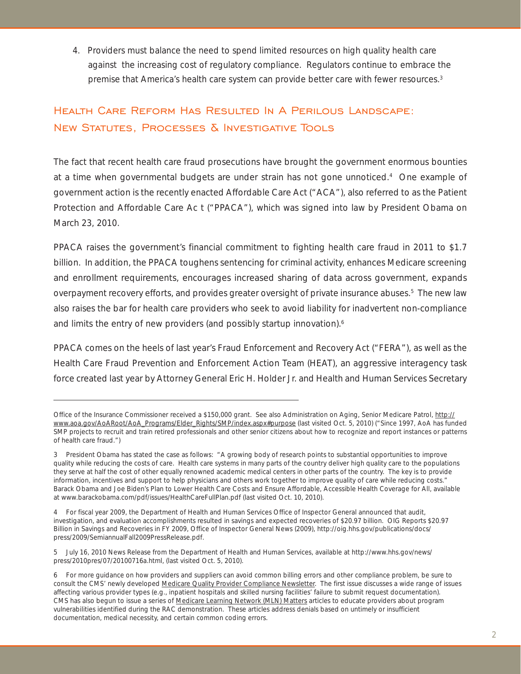4. Providers must balance the need to spend limited resources on high quality health care against the increasing cost of regulatory compliance. Regulators continue to embrace the premise that America's health care system can provide better care with fewer resources.<sup>3</sup>

## Health Care Reform Has Resulted In A Perilous Landscape: New Statutes, Processes & Investigative Tools

The fact that recent health care fraud prosecutions have brought the government enormous bounties at a time when governmental budgets are under strain has not gone unnoticed.<sup>4</sup> One example of government action is the recently enacted Affordable Care Act ("ACA"), also referred to as the Patient Protection and Affordable Care Ac t ("PPACA"), which was signed into law by President Obama on March 23, 2010.

PPACA raises the government's financial commitment to fighting health care fraud in 2011 to \$1.7 billion. In addition, the PPACA toughens sentencing for criminal activity, enhances Medicare screening and enrollment requirements, encourages increased sharing of data across government, expands overpayment recovery efforts, and provides greater oversight of private insurance abuses.<sup>5</sup> The new law also raises the bar for health care providers who seek to avoid liability for inadvertent non-compliance and limits the entry of new providers (and possibly startup innovation).<sup>6</sup>

PPACA comes on the heels of last year's Fraud Enforcement and Recovery Act ("FERA"), as well as the Health Care Fraud Prevention and Enforcement Action Team (HEAT), an aggressive interagency task force created last year by Attorney General Eric H. Holder Jr. and Health and Human Services Secretary

Office of the Insurance Commissioner received a \$150,000 grant. See also Administration on Aging, Senior Medicare Patrol, http:// www.aoa.gov/AoARoot/AoA\_Programs/Elder\_Rights/SMP/index.aspx#purpose (last visited Oct. 5, 2010) ("Since 1997, AoA has funded SMP projects to recruit and train retired professionals and other senior citizens about how to recognize and report instances or patterns of health care fraud.")

<sup>3</sup> President Obama has stated the case as follows: "A growing body of research points to substantial opportunities to improve quality while reducing the costs of care. Health care systems in many parts of the country deliver high quality care to the populations they serve at half the cost of other equally renowned academic medical centers in other parts of the country. The key is to provide information, incentives and support to help physicians and others work together to improve quality of care while reducing costs." Barack Obama and Joe Biden's Plan to Lower Health Care Costs and Ensure Affordable, Accessible Health Coverage for All, available at www.barackobama.com/pdf/issues/HealthCareFullPlan.pdf (last visited Oct. 10, 2010).

<sup>4</sup> For fiscal year 2009, the Department of Health and Human Services Office of Inspector General announced that audit, investigation, and evaluation accomplishments resulted in savings and expected recoveries of \$20.97 billion. OIG Reports \$20.97 Billion in Savings and Recoveries in FY 2009, Office of Inspector General News (2009), http://oig.hhs.gov/publications/docs/ press/2009/SemiannualFall2009PressRelease.pdf.

<sup>5</sup> July 16, 2010 News Release from the Department of Health and Human Services, available at http://www.hhs.gov/news/ press/2010pres/07/20100716a.html, (last visited Oct. 5, 2010).

<sup>6</sup> For more guidance on how providers and suppliers can avoid common billing errors and other compliance problem, be sure to consult the CMS' newly developed Medicare Quality Provider Compliance Newsletter. The first issue discusses a wide range of issues affecting various provider types (e.g., inpatient hospitals and skilled nursing facilities' failure to submit request documentation). CMS has also begun to issue a series of Medicare Learning Network (MLN) Matters articles to educate providers about program vulnerabilities identified during the RAC demonstration. These articles address denials based on untimely or insufficient documentation, medical necessity, and certain common coding errors.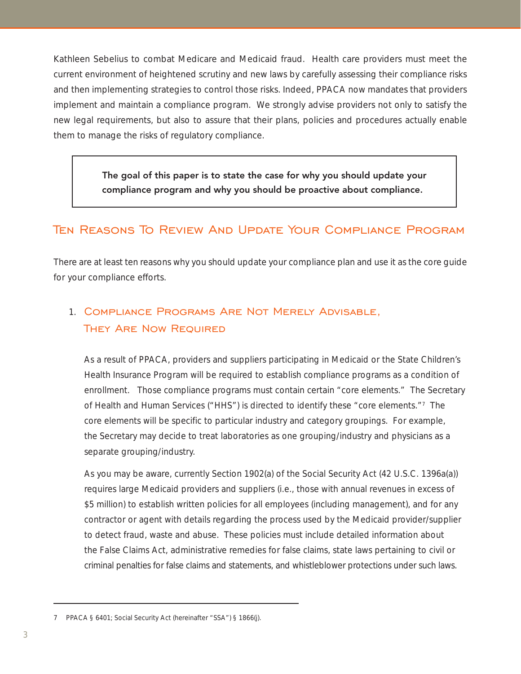Kathleen Sebelius to combat Medicare and Medicaid fraud. Health care providers must meet the current environment of heightened scrutiny and new laws by carefully assessing their compliance risks and then implementing strategies to control those risks. Indeed, PPACA now mandates that providers implement and maintain a compliance program. We strongly advise providers not only to satisfy the new legal requirements, but also to assure that their plans, policies and procedures actually enable them to manage the risks of regulatory compliance.

> The goal of this paper is to state the case for why you should update your compliance program and why you should be proactive about compliance.

## Ten Reasons To Review And Update Your Compliance Program

There are at least ten reasons why you should update your compliance plan and use it as the core guide for your compliance efforts.

## 1. Compliance Programs Are Not Merely Advisable, They Are Now Required

As a result of PPACA, providers and suppliers participating in Medicaid or the State Children's Health Insurance Program will be required to establish compliance programs as a condition of enrollment. Those compliance programs must contain certain "core elements." The Secretary of Health and Human Services ("HHS") is directed to identify these "core elements."7 The core elements will be specific to particular industry and category groupings. For example, the Secretary may decide to treat laboratories as one grouping/industry and physicians as a separate grouping/industry.

As you may be aware, currently Section 1902(a) of the Social Security Act (42 U.S.C. 1396a(a)) requires large Medicaid providers and suppliers (i.e., those with annual revenues in excess of \$5 million) to establish written policies for all employees (including management), and for any contractor or agent with details regarding the process used by the Medicaid provider/supplier to detect fraud, waste and abuse. These policies must include detailed information about the False Claims Act, administrative remedies for false claims, state laws pertaining to civil or criminal penalties for false claims and statements, and whistleblower protections under such laws.

<sup>7</sup> PPACA § 6401; Social Security Act (hereinafter "SSA") § 1866(j).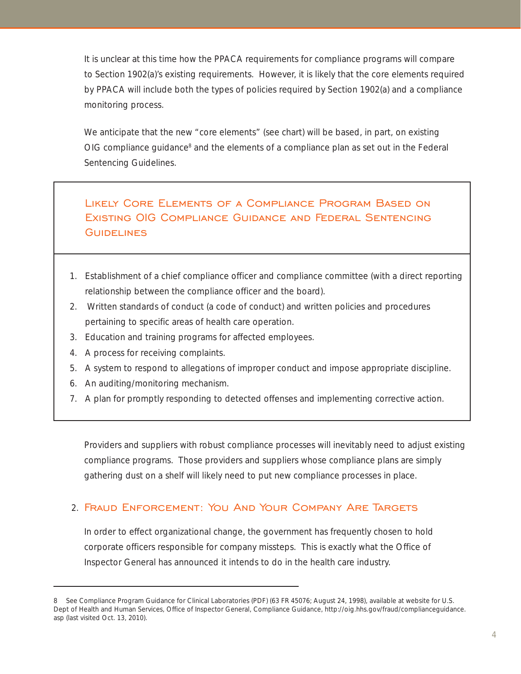It is unclear at this time how the PPACA requirements for compliance programs will compare to Section 1902(a)'s existing requirements. However, it is likely that the core elements required by PPACA will include both the types of policies required by Section 1902(a) and a compliance monitoring process.

We anticipate that the new "core elements" (see chart) will be based, in part, on existing OIG compliance guidance<sup>8</sup> and the elements of a compliance plan as set out in the Federal Sentencing Guidelines.

## Likely Core Elements of a Compliance Program Based on Existing OIG Compliance Guidance and Federal Sentencing **GUIDELINES**

- 1. Establishment of a chief compliance officer and compliance committee (with a direct reporting relationship between the compliance officer and the board).
- 2. Written standards of conduct (a code of conduct) and written policies and procedures pertaining to specific areas of health care operation.
- 3. Education and training programs for affected employees.
- 4. A process for receiving complaints.
- 5. A system to respond to allegations of improper conduct and impose appropriate discipline.
- 6. An auditing/monitoring mechanism.
- 7. A plan for promptly responding to detected offenses and implementing corrective action.

Providers and suppliers with robust compliance processes will inevitably need to adjust existing compliance programs. Those providers and suppliers whose compliance plans are simply gathering dust on a shelf will likely need to put new compliance processes in place.

### 2. Fraud Enforcement: You And Your Company Are Targets

In order to effect organizational change, the government has frequently chosen to hold corporate officers responsible for company missteps. This is exactly what the Office of Inspector General has announced it intends to do in the health care industry.

<sup>8</sup> See Compliance Program Guidance for Clinical Laboratories (PDF) (63 FR 45076; August 24, 1998), available at website for U.S. Dept of Health and Human Services, Office of Inspector General, Compliance Guidance, http://oig.hhs.gov/fraud/complianceguidance. asp (last visited Oct. 13, 2010).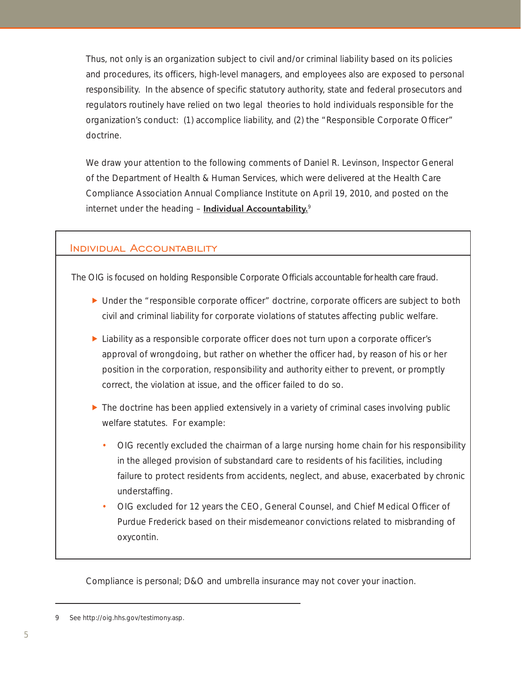Thus, not only is an organization subject to civil and/or criminal liability based on its policies and procedures, its officers, high-level managers, and employees also are exposed to personal responsibility. In the absence of specific statutory authority, state and federal prosecutors and regulators routinely have relied on two legal theories to hold individuals responsible for the organization's conduct: (1) accomplice liability, and (2) the "Responsible Corporate Officer" doctrine.

We draw your attention to the following comments of Daniel R. Levinson, Inspector General of the Department of Health & Human Services, which were delivered at the Health Care Compliance Association Annual Compliance Institute on April 19, 2010, and posted on the internet under the heading - **Individual Accountability.**<sup>9</sup>

#### Individual Accountability

The OIG is focused on holding Responsible Corporate Officials accountable for health care fraud.

- $\triangleright$  Under the "responsible corporate officer" doctrine, corporate officers are subject to both civil and criminal liability for corporate violations of statutes affecting public welfare.
- $\blacktriangleright$  Liability as a responsible corporate officer does not turn upon a corporate officer's approval of wrongdoing, but rather on whether the officer had, by reason of his or her position in the corporation, responsibility and authority either to prevent, or promptly correct, the violation at issue, and the officer failed to do so.
- $\blacktriangleright$  The doctrine has been applied extensively in a variety of criminal cases involving public welfare statutes. For example:
	- OIG recently excluded the chairman of a large nursing home chain for his responsibility in the alleged provision of substandard care to residents of his facilities, including failure to protect residents from accidents, neglect, and abuse, exacerbated by chronic understaffing.
	- OIG excluded for 12 years the CEO, General Counsel, and Chief Medical Officer of Purdue Frederick based on their misdemeanor convictions related to misbranding of oxycontin.

Compliance is personal; D&O and umbrella insurance may not cover your inaction.

<sup>9</sup> See http://oig.hhs.gov/testimony.asp.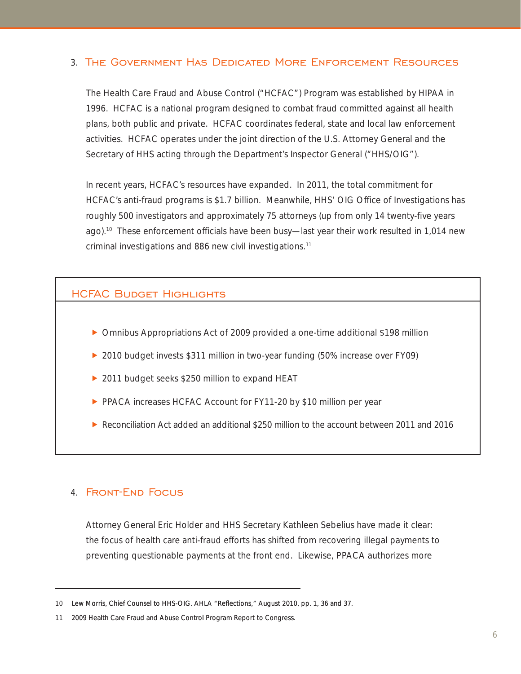#### 3. The Government Has Dedicated More Enforcement Resources

The Health Care Fraud and Abuse Control ("HCFAC") Program was established by HIPAA in 1996. HCFAC is a national program designed to combat fraud committed against all health plans, both public and private. HCFAC coordinates federal, state and local law enforcement activities. HCFAC operates under the joint direction of the U.S. Attorney General and the Secretary of HHS acting through the Department's Inspector General ("HHS/OIG").

In recent years, HCFAC's resources have expanded. In 2011, the total commitment for HCFAC's anti-fraud programs is \$1.7 billion. Meanwhile, HHS' OIG Office of Investigations has roughly 500 investigators and approximately 75 attorneys (up from only 14 twenty-five years ago).10 These enforcement officials have been busy—last year their work resulted in 1,014 new criminal investigations and 886 new civil investigations.11

#### **HCFAC BUDGET HIGHLIGHTS**

- $\triangleright$  Omnibus Appropriations Act of 2009 provided a one-time additional \$198 million
- ▶ 2010 budget invests \$311 million in two-year funding (50% increase over FY09)
- ▶ 2011 budget seeks \$250 million to expand HEAT
- PPACA increases HCFAC Account for FY11-20 by \$10 million per year
- $\triangleright$  Reconciliation Act added an additional \$250 million to the account between 2011 and 2016

#### 4. Front-End Focus

Attorney General Eric Holder and HHS Secretary Kathleen Sebelius have made it clear: the focus of health care anti-fraud efforts has shifted from recovering illegal payments to preventing questionable payments at the front end. Likewise, PPACA authorizes more

<sup>10</sup> Lew Morris, Chief Counsel to HHS-OIG. AHLA "Reflections," August 2010, pp. 1, 36 and 37.

<sup>11 2009</sup> Health Care Fraud and Abuse Control Program Report to Congress.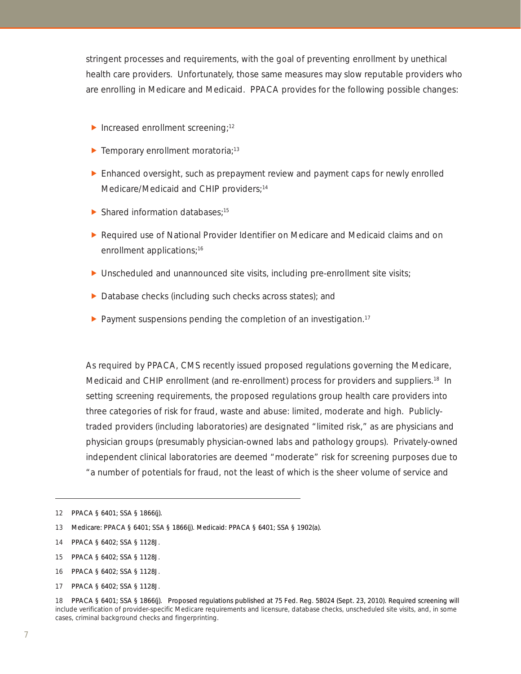stringent processes and requirements, with the goal of preventing enrollment by unethical health care providers. Unfortunately, those same measures may slow reputable providers who are enrolling in Medicare and Medicaid. PPACA provides for the following possible changes:

- $\blacktriangleright$  Increased enrollment screening;<sup>12</sup>
- F Temporary enrollment moratoria;<sup>13</sup>
- $\triangleright$  Enhanced oversight, such as prepayment review and payment caps for newly enrolled Medicare/Medicaid and CHIP providers;<sup>14</sup>
- $\blacktriangleright$  Shared information databases;<sup>15</sup>
- **F** Required use of National Provider Identifier on Medicare and Medicaid claims and on enrollment applications;<sup>16</sup>
- $\blacktriangleright$  Unscheduled and unannounced site visits, including pre-enrollment site visits;
- $\triangleright$  Database checks (including such checks across states); and
- **Payment suspensions pending the completion of an investigation.**<sup>17</sup>

As required by PPACA, CMS recently issued proposed regulations governing the Medicare, Medicaid and CHIP enrollment (and re-enrollment) process for providers and suppliers.<sup>18</sup> In setting screening requirements, the proposed regulations group health care providers into three categories of risk for fraud, waste and abuse: limited, moderate and high. Publiclytraded providers (including laboratories) are designated "limited risk," as are physicians and physician groups (presumably physician-owned labs and pathology groups). Privately-owned independent clinical laboratories are deemed "moderate" risk for screening purposes due to "a number of potentials for fraud, not the least of which is the sheer volume of service and

- 16 PPACA § 6402; SSA § 1128J.
- 17 PPACA § 6402; SSA § 1128J.

<sup>12</sup> PPACA § 6401; SSA § 1866(j).

<sup>13</sup> Medicare: PPACA § 6401; SSA § 1866(j). Medicaid: PPACA § 6401; SSA § 1902(a).

<sup>14</sup> PPACA § 6402; SSA § 1128J.

<sup>15</sup> PPACA § 6402; SSA § 1128J.

<sup>18</sup> PPACA § 6401; SSA § 1866(j). Proposed regulations published at 75 Fed. Reg. 58024 (Sept. 23, 2010). Required screening will include verification of provider-specific Medicare requirements and licensure, database checks, unscheduled site visits, and, in some cases, criminal background checks and fingerprinting.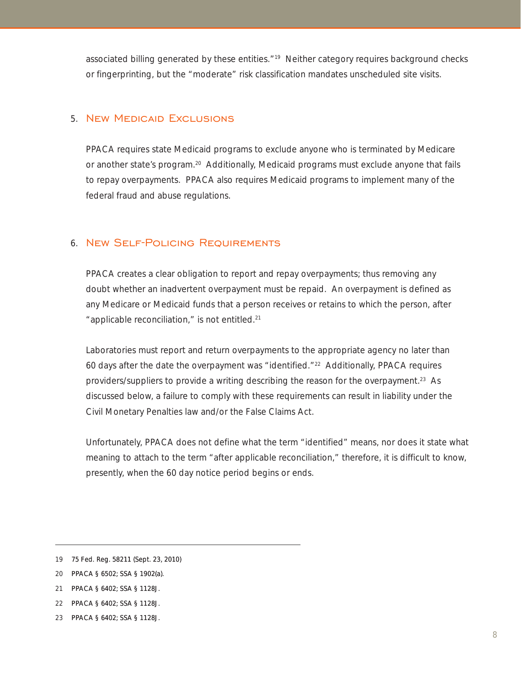associated billing generated by these entities."19 Neither category requires background checks or fingerprinting, but the "moderate" risk classification mandates unscheduled site visits.

#### 5. New Medicaid Exclusions

PPACA requires state Medicaid programs to exclude anyone who is terminated by Medicare or another state's program.20 Additionally, Medicaid programs must exclude anyone that fails to repay overpayments. PPACA also requires Medicaid programs to implement many of the federal fraud and abuse regulations.

#### 6. New Self-Policing Requirements

PPACA creates a clear obligation to report and repay overpayments; thus removing any doubt whether an inadvertent overpayment must be repaid. An overpayment is defined as any Medicare or Medicaid funds that a person receives or retains to which the person, after "applicable reconciliation," is not entitled.21

Laboratories must report and return overpayments to the appropriate agency no later than 60 days after the date the overpayment was "identified." $^{22}$  Additionally, PPACA requires providers/suppliers to provide a writing describing the reason for the overpayment.23 As discussed below, a failure to comply with these requirements can result in liability under the Civil Monetary Penalties law and/or the False Claims Act.

Unfortunately, PPACA does not define what the term "identified" means, nor does it state what meaning to attach to the term "after applicable reconciliation," therefore, it is difficult to know, presently, when the 60 day notice period begins or ends.

- 21 PPACA § 6402; SSA § 1128J.
- 22 PPACA § 6402; SSA § 1128J.
- 23 PPACA § 6402; SSA § 1128J.

<sup>19 75</sup> Fed. Reg. 58211 (Sept. 23, 2010)

<sup>20</sup> PPACA § 6502; SSA § 1902(a).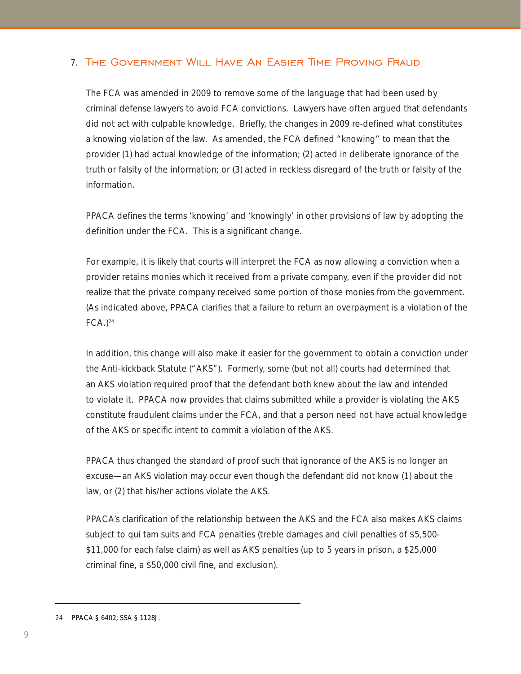#### 7. The Government Will Have An Easier Time Proving Fraud

The FCA was amended in 2009 to remove some of the language that had been used by criminal defense lawyers to avoid FCA convictions. Lawyers have often argued that defendants did not act with culpable knowledge. Briefly, the changes in 2009 re-defined what constitutes a knowing violation of the law. As amended, the FCA defined "knowing" to mean that the provider (1) had actual knowledge of the information; (2) acted in deliberate ignorance of the truth or falsity of the information; or (3) acted in reckless disregard of the truth or falsity of the information.

PPACA defines the terms 'knowing' and 'knowingly' in other provisions of law by adopting the definition under the FCA. This is a significant change.

For example, it is likely that courts will interpret the FCA as now allowing a conviction when a provider retains monies which it received from a private company, even if the provider did not realize that the private company received some portion of those monies from the government. (As indicated above, PPACA clarifies that a failure to return an overpayment is a violation of the  $FCA.$ )<sup>24</sup>

In addition, this change will also make it easier for the government to obtain a conviction under the Anti-kickback Statute ("AKS"). Formerly, some (but not all) courts had determined that an AKS violation required proof that the defendant both knew about the law and intended to violate it. PPACA now provides that claims submitted while a provider is violating the AKS constitute fraudulent claims under the FCA, and that a person need not have actual knowledge of the AKS or specific intent to commit a violation of the AKS.

PPACA thus changed the standard of proof such that ignorance of the AKS is no longer an excuse—an AKS violation may occur even though the defendant did not know (1) about the law, or (2) that his/her actions violate the AKS.

PPACA's clarification of the relationship between the AKS and the FCA also makes AKS claims subject to qui tam suits and FCA penalties (treble damages and civil penalties of \$5,500- \$11,000 for each false claim) as well as AKS penalties (up to 5 years in prison, a \$25,000 criminal fine, a \$50,000 civil fine, and exclusion).

24 PPACA § 6402; SSA § 1128J.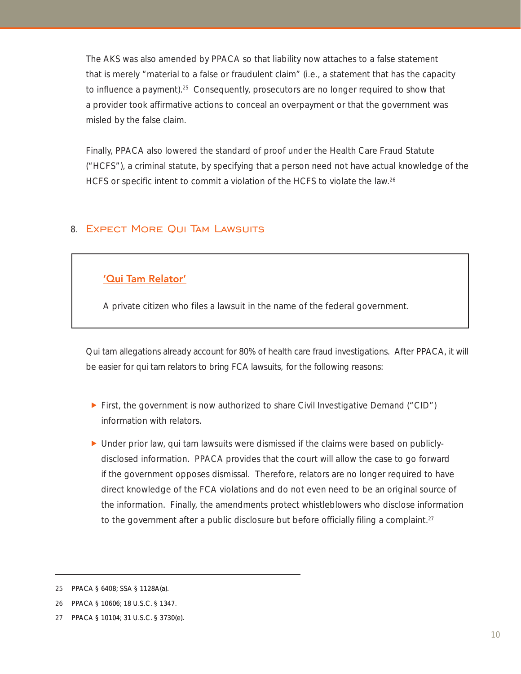The AKS was also amended by PPACA so that liability now attaches to a false statement that is merely "material to a false or fraudulent claim" (i.e., a statement that has the capacity to influence a payment).<sup>25</sup> Consequently, prosecutors are no longer required to show that a provider took affirmative actions to conceal an overpayment or that the government was misled by the false claim.

Finally, PPACA also lowered the standard of proof under the Health Care Fraud Statute ("HCFS"), a criminal statute, by specifying that a person need not have actual knowledge of the HCFS or specific intent to commit a violation of the HCFS to violate the law.<sup>26</sup>

#### 8. Expect More Qui Tam Lawsuits

#### 'Qui Tam Relator'

Ξ

A private citizen who files a lawsuit in the name of the federal government.

Qui tam allegations already account for 80% of health care fraud investigations. After PPACA, it will be easier for qui tam relators to bring FCA lawsuits, for the following reasons:

- First, the government is now authorized to share Civil Investigative Demand ("CID") information with relators.
- $\blacktriangleright$  Under prior law, qui tam lawsuits were dismissed if the claims were based on publiclydisclosed information. PPACA provides that the court will allow the case to go forward if the government opposes dismissal. Therefore, relators are no longer required to have direct knowledge of the FCA violations and do not even need to be an original source of the information. Finally, the amendments protect whistleblowers who disclose information to the government after a public disclosure but before officially filing a complaint.<sup>27</sup>

<sup>25</sup> PPACA § 6408; SSA § 1128A(a).

<sup>26</sup> PPACA § 10606; 18 U.S.C. § 1347.

<sup>27</sup> PPACA § 10104; 31 U.S.C. § 3730(e).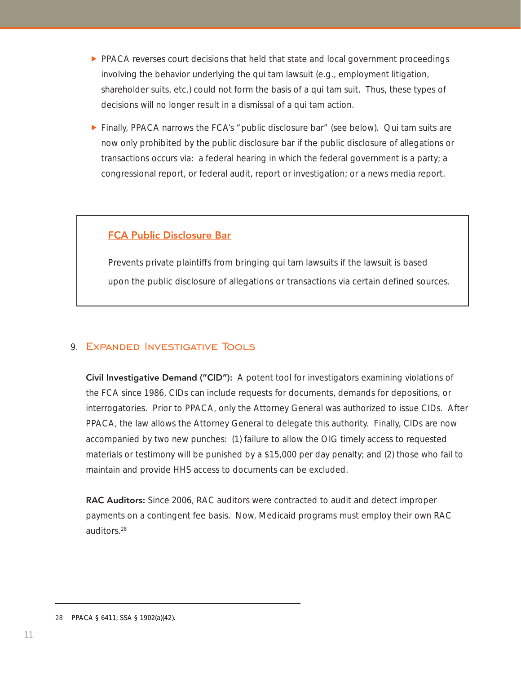- $\blacktriangleright$  PPACA reverses court decisions that held that state and local government proceedings involving the behavior underlying the qui tam lawsuit (e.g., employment litigation, shareholder suits, etc.) could not form the basis of a qui tam suit. Thus, these types of decisions will no longer result in a dismissal of a qui tam action.
- $\triangleright$  Finally, PPACA narrows the FCA's "public disclosure bar" (see below). Qui tam suits are now only prohibited by the public disclosure bar if the public disclosure of allegations or transactions occurs via: a federal hearing in which the federal government is a party; a congressional report, or federal audit, report or investigation; or a news media report.

#### FCA Public Disclosure Bar

Prevents private plaintiffs from bringing qui tam lawsuits if the lawsuit is based upon the public disclosure of allegations or transactions via certain defined sources.

#### 9. EXPANDED INVESTIGATIVE TOOLS

Civil Investigative Demand ("CID"): A potent tool for investigators examining violations of the FCA since 1986, CIDs can include requests for documents, demands for depositions, or interrogatories. Prior to PPACA, only the Attorney General was authorized to issue CIDs. After PPACA, the law allows the Attorney General to delegate this authority. Finally, CIDs are now accompanied by two new punches: (1) failure to allow the OIG timely access to requested materials or testimony will be punished by a \$15,000 per day penalty; and (2) those who fail to maintain and provide HHS access to documents can be excluded.

RAC Auditors: Since 2006, RAC auditors were contracted to audit and detect improper payments on a contingent fee basis. Now, Medicaid programs must employ their own RAC auditors.28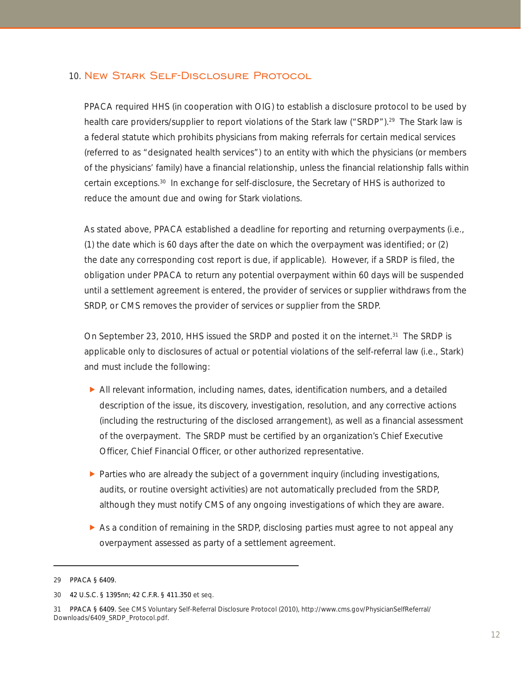#### 10. New Stark Self-Disclosure Protocol

PPACA required HHS (in cooperation with OIG) to establish a disclosure protocol to be used by health care providers/supplier to report violations of the Stark law ("SRDP").<sup>29</sup> The Stark law is a federal statute which prohibits physicians from making referrals for certain medical services (referred to as "designated health services") to an entity with which the physicians (or members of the physicians' family) have a financial relationship, unless the financial relationship falls within certain exceptions.30 In exchange for self-disclosure, the Secretary of HHS is authorized to reduce the amount due and owing for Stark violations.

As stated above, PPACA established a deadline for reporting and returning overpayments (i.e., (1) the date which is 60 days after the date on which the overpayment was identified; or (2) the date any corresponding cost report is due, if applicable). However, if a SRDP is filed, the obligation under PPACA to return any potential overpayment within 60 days will be suspended until a settlement agreement is entered, the provider of services or supplier withdraws from the SRDP, or CMS removes the provider of services or supplier from the SRDP.

On September 23, 2010, HHS issued the SRDP and posted it on the internet.<sup>31</sup> The SRDP is applicable only to disclosures of actual or potential violations of the self-referral law (i.e., Stark) and must include the following:

- $\blacktriangleright$  All relevant information, including names, dates, identification numbers, and a detailed description of the issue, its discovery, investigation, resolution, and any corrective actions (including the restructuring of the disclosed arrangement), as well as a financial assessment of the overpayment. The SRDP must be certified by an organization's Chief Executive Officer, Chief Financial Officer, or other authorized representative.
- $\blacktriangleright$  Parties who are already the subject of a government inquiry (including investigations, audits, or routine oversight activities) are not automatically precluded from the SRDP, although they must notify CMS of any ongoing investigations of which they are aware.
- $\triangleright$  As a condition of remaining in the SRDP, disclosing parties must agree to not appeal any overpayment assessed as party of a settlement agreement.

<sup>29</sup> PPACA § 6409.

<sup>30 42</sup> U.S.C. § 1395nn; 42 C.F.R. § 411.350 et seq.

<sup>31</sup> PPACA § 6409. See CMS Voluntary Self-Referral Disclosure Protocol (2010), http://www.cms.gov/PhysicianSelfReferral/ Downloads/6409\_SRDP\_Protocol.pdf.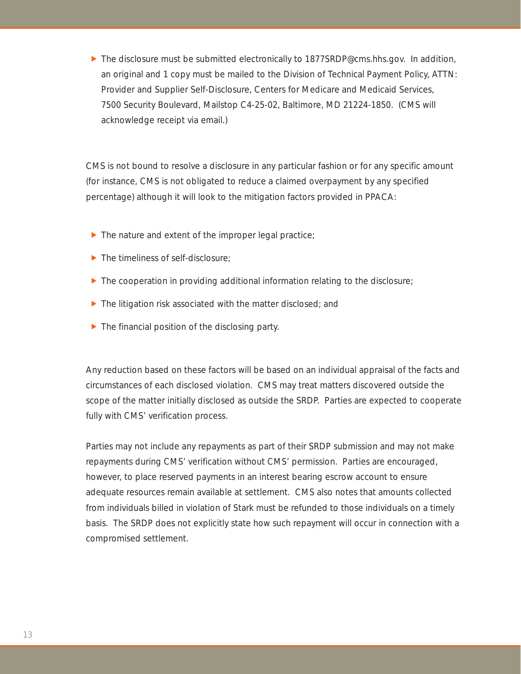$\blacktriangleright$  The disclosure must be submitted electronically to 1877SRDP@cms.hhs.gov. In addition, an original and 1 copy must be mailed to the Division of Technical Payment Policy, ATTN: Provider and Supplier Self-Disclosure, Centers for Medicare and Medicaid Services, 7500 Security Boulevard, Mailstop C4-25-02, Baltimore, MD 21224-1850. (CMS will acknowledge receipt via email.)

CMS is not bound to resolve a disclosure in any particular fashion or for any specific amount (for instance, CMS is not obligated to reduce a claimed overpayment by any specified percentage) although it will look to the mitigation factors provided in PPACA:

- $\blacktriangleright$  The nature and extent of the improper legal practice;
- $\blacktriangleright$  The timeliness of self-disclosure;
- $\blacktriangleright$  The cooperation in providing additional information relating to the disclosure;
- $\blacktriangleright$  The litigation risk associated with the matter disclosed; and
- $\blacktriangleright$  The financial position of the disclosing party.

Any reduction based on these factors will be based on an individual appraisal of the facts and circumstances of each disclosed violation. CMS may treat matters discovered outside the scope of the matter initially disclosed as outside the SRDP. Parties are expected to cooperate fully with CMS' verification process.

Parties may not include any repayments as part of their SRDP submission and may not make repayments during CMS' verification without CMS' permission. Parties are encouraged, however, to place reserved payments in an interest bearing escrow account to ensure adequate resources remain available at settlement. CMS also notes that amounts collected from individuals billed in violation of Stark must be refunded to those individuals on a timely basis. The SRDP does not explicitly state how such repayment will occur in connection with a compromised settlement.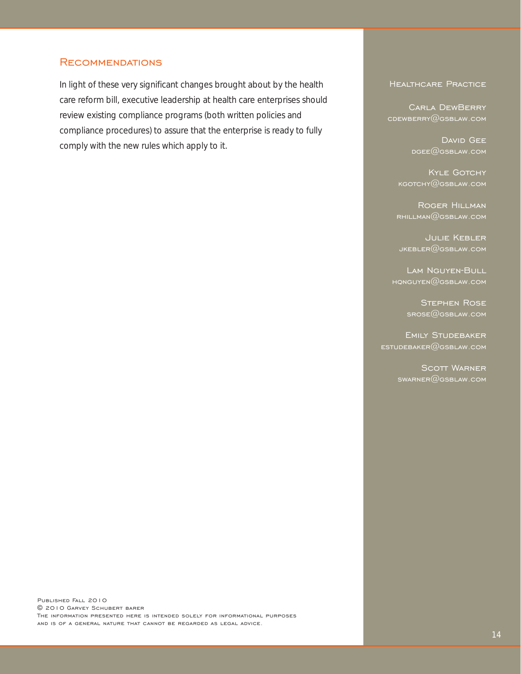#### **RECOMMENDATIONS**

In light of these very significant changes brought about by the health care reform bill, executive leadership at health care enterprises should review existing compliance programs (both written policies and compliance procedures) to assure that the enterprise is ready to fully comply with the new rules which apply to it.

#### Healthcare Practice

 Carla DewBerry cdewberry@gsblaw.com

> DAVID GEE  $DGEE$ @GSBLAW.COM

KYLE GOTCHY kgotchy@gsblaw.com

Roger Hillman  $R$ HILLMAN $@$ GSBLAW.COM

Julie Kebler  $JKEBLER@GSBLAW.COM$ 

Lam Nguyen-Bull  $HQNGUYEN@GSBLAW.COM$ 

> Stephen Rose srose@gsblaw.com

Emily Studebaker  $ESTUDEBAKER@GSBLAW.COM$ 

> SCOTT WARNER  $swaRR@GSBLAW$ .com

Published Fall 2010 © 2010 Garvey Schubert barer The information presented here is intended solely for informational purposes and is of a general nature that cannot be regarded as legal advice.